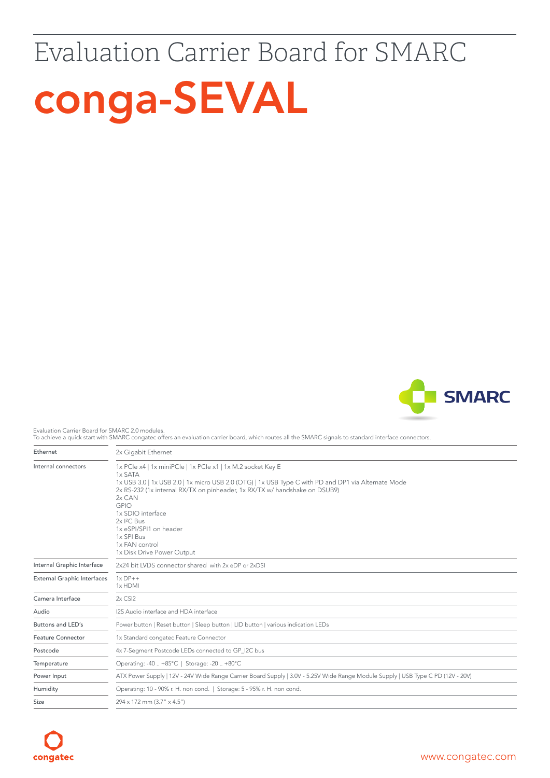## Evaluation Carrier Board for SMARC





Evaluation Carrier Board for SMARC 2.0 modules.

To achieve a quick start with SMARC congatec offers an evaluation carrier board, which routes all the SMARC signals to standard interface connectors.

| Ethernet                           | 2x Gigabit Ethernet                                                                                                                                                                                                                                                                                                                                                                                                          |  |  |
|------------------------------------|------------------------------------------------------------------------------------------------------------------------------------------------------------------------------------------------------------------------------------------------------------------------------------------------------------------------------------------------------------------------------------------------------------------------------|--|--|
| Internal connectors                | 1x PCIe x4   1x miniPCIe   1x PCIe x1   1x M.2 socket Key E<br>1x SATA<br>1x USB 3.0   1x USB 2.0   1x micro USB 2.0 (OTG)   1x USB Type C with PD and DP1 via Alternate Mode<br>2x RS-232 (1x internal RX/TX on pinheader, 1x RX/TX w/ handshake on DSUB9)<br>2x CAN<br><b>GPIO</b><br>1x SDIO interface<br>2x I <sup>2</sup> C Bus<br>1x eSPI/SPI1 on header<br>1x SPI Bus<br>1x FAN control<br>1x Disk Drive Power Output |  |  |
| Internal Graphic Interface         | 2x24 bit LVDS connector shared with 2x eDP or 2xDSI                                                                                                                                                                                                                                                                                                                                                                          |  |  |
| <b>External Graphic Interfaces</b> | $1 \times DP++$<br>1x HDMI                                                                                                                                                                                                                                                                                                                                                                                                   |  |  |
| Camera Interface                   | $2x$ CSI $2$                                                                                                                                                                                                                                                                                                                                                                                                                 |  |  |
| Audio                              | I2S Audio interface and HDA interface                                                                                                                                                                                                                                                                                                                                                                                        |  |  |
| Buttons and LED's                  | Power button   Reset button   Sleep button   LID button   various indication LEDs                                                                                                                                                                                                                                                                                                                                            |  |  |
| <b>Feature Connector</b>           | 1x Standard congatec Feature Connector                                                                                                                                                                                                                                                                                                                                                                                       |  |  |
| Postcode                           | 4x 7-Segment Postcode LEDs connected to GP I2C bus                                                                                                                                                                                                                                                                                                                                                                           |  |  |
| Temperature                        | Operating: -40  +85°C   Storage: -20  +80°C                                                                                                                                                                                                                                                                                                                                                                                  |  |  |
| Power Input                        | ATX Power Supply   12V - 24V Wide Range Carrier Board Supply   3.0V - 5.25V Wide Range Module Supply   USB Type C PD (12V - 20V)                                                                                                                                                                                                                                                                                             |  |  |
| Humidity                           | Operating: 10 - 90% r. H. non cond.   Storage: 5 - 95% r. H. non cond.                                                                                                                                                                                                                                                                                                                                                       |  |  |
| Size                               | 294 x 172 mm (3.7" x 4.5")                                                                                                                                                                                                                                                                                                                                                                                                   |  |  |